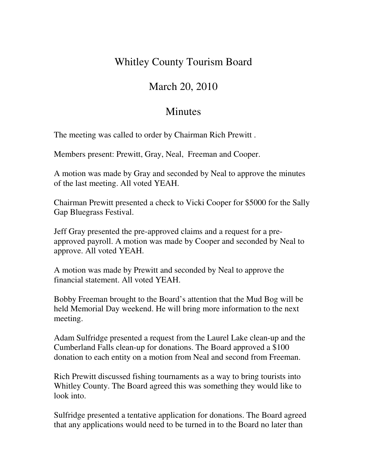## Whitley County Tourism Board

## March 20, 2010

## **Minutes**

The meeting was called to order by Chairman Rich Prewitt .

Members present: Prewitt, Gray, Neal, Freeman and Cooper.

A motion was made by Gray and seconded by Neal to approve the minutes of the last meeting. All voted YEAH.

Chairman Prewitt presented a check to Vicki Cooper for \$5000 for the Sally Gap Bluegrass Festival.

Jeff Gray presented the pre-approved claims and a request for a preapproved payroll. A motion was made by Cooper and seconded by Neal to approve. All voted YEAH.

A motion was made by Prewitt and seconded by Neal to approve the financial statement. All voted YEAH.

Bobby Freeman brought to the Board's attention that the Mud Bog will be held Memorial Day weekend. He will bring more information to the next meeting.

Adam Sulfridge presented a request from the Laurel Lake clean-up and the Cumberland Falls clean-up for donations. The Board approved a \$100 donation to each entity on a motion from Neal and second from Freeman.

Rich Prewitt discussed fishing tournaments as a way to bring tourists into Whitley County. The Board agreed this was something they would like to look into.

Sulfridge presented a tentative application for donations. The Board agreed that any applications would need to be turned in to the Board no later than